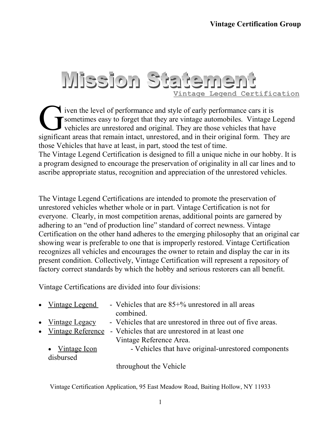#### Mission Statement **Vintage Legend Certification**

**i** iven the level of performance and style of early performance cars it is sometimes easy to forget that they are vintage automobiles. Vintage Legend vehicles are unrestored and original. They are those vehicles that have significant areas that remain intact, unrestored, and in their original form. They are significant areas that remain intact, unrestored, and in their original form. They are those Vehicles that have at least, in part, stood the test of time. The Vintage Legend Certification is designed to fill a unique niche in our hobby. It is a program designed to encourage the preservation of originality in all car lines and to ascribe appropriate status, recognition and appreciation of the unrestored vehicles.

The Vintage Legend Certifications are intended to promote the preservation of unrestored vehicles whether whole or in part. Vintage Certification is not for everyone. Clearly, in most competition arenas, additional points are garnered by adhering to an "end of production line" standard of correct newness. Vintage Certification on the other hand adheres to the emerging philosophy that an original car showing wear is preferable to one that is improperly restored. Vintage Certification recognizes all vehicles and encourages the owner to retain and display the car in its present condition. Collectively, Vintage Certification will represent a repository of factory correct standards by which the hobby and serious restorers can all benefit.

Vintage Certifications are divided into four divisions:

| $\bullet$ Vintage Legend | - Vehicles that are $85+%$ unrestored in all areas         |
|--------------------------|------------------------------------------------------------|
|                          | combined.                                                  |
| $\bullet$ Vintage Legacy | - Vehicles that are unrestored in three out of five areas. |
| • Vintage Reference      | - Vehicles that are unrestored in at least one             |
|                          | Vintage Reference Area.                                    |
| • Vintage Icon           | - Vehicles that have original-unrestored components        |
| disbursed                |                                                            |
|                          | $-1$ 1 $-1$ $+7$ $+1$                                      |

throughout the Vehicle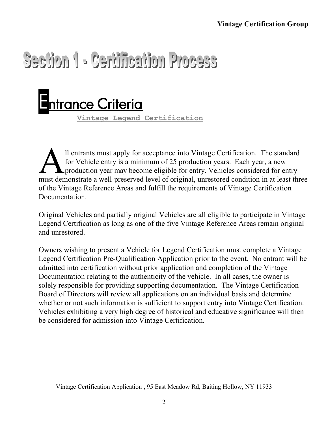### Section 1 - Certification Process



**Vintage Legend Certification**

ll entrants must apply for acceptance into Vintage Certification. The standard for Vehicle entry is a minimum of 25 production years. Each year, a new production year may become eligible for entry. Vehicles considered for entry Il entrants must apply for acceptance into Vintage Certification. The standard for Vehicle entry is a minimum of 25 production years. Each year, a new production year may become eligible for entry. Vehicles considered for of the Vintage Reference Areas and fulfill the requirements of Vintage Certification **Documentation** 

Original Vehicles and partially original Vehicles are all eligible to participate in Vintage Legend Certification as long as one of the five Vintage Reference Areas remain original and unrestored.

Owners wishing to present a Vehicle for Legend Certification must complete a Vintage Legend Certification Pre-Qualification Application prior to the event. No entrant will be admitted into certification without prior application and completion of the Vintage Documentation relating to the authenticity of the vehicle. In all cases, the owner is solely responsible for providing supporting documentation. The Vintage Certification Board of Directors will review all applications on an individual basis and determine whether or not such information is sufficient to support entry into Vintage Certification. Vehicles exhibiting a very high degree of historical and educative significance will then be considered for admission into Vintage Certification.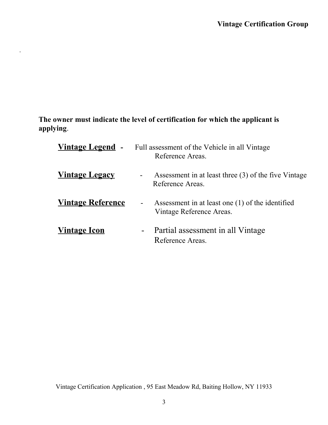**The owner must indicate the level of certification for which the applicant is applying**.

.

| <u>Vintage Legend</u> -  | Full assessment of the Vehicle in all Vintage<br>Reference Areas.                          |
|--------------------------|--------------------------------------------------------------------------------------------|
| <u>Vintage Legacy</u>    | Assessment in at least three (3) of the five Vintage<br>$\blacksquare$<br>Reference Areas. |
| <b>Vintage Reference</b> | Assessment in at least one (1) of the identified<br>-<br>Vintage Reference Areas.          |
| <b>Vintage Icon</b>      | Partial assessment in all Vintage<br>$\sim$<br>Reference Areas.                            |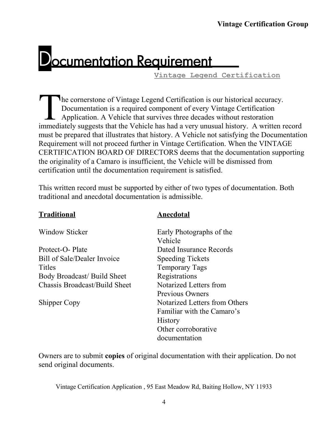### **Jocumentation Requirement**

**Vintage Legend Certification**

he cornerstone of Vintage Legend Certification is our historical accuracy. Documentation is a required component of every Vintage Certification Application. A Vehicle that survives three decades without restoration In the cornerstone of Vintage Legend Certification is our historical accuracy.<br>
Documentation is a required component of every Vintage Certification<br>
Application. A Vehicle that survives three decades without restoration<br> must be prepared that illustrates that history. A Vehicle not satisfying the Documentation Requirement will not proceed further in Vintage Certification. When the VINTAGE CERTIFICATION BOARD OF DIRECTORS deems that the documentation supporting the originality of a Camaro is insufficient, the Vehicle will be dismissed from certification until the documentation requirement is satisfied.

This written record must be supported by either of two types of documentation. Both traditional and anecdotal documentation is admissible.

| Fraditional |  |
|-------------|--|
|             |  |

#### **Traditional Anecdotal**

| <b>Window Sticker</b>              | Early Photographs of the      |  |  |
|------------------------------------|-------------------------------|--|--|
|                                    | Vehicle                       |  |  |
| Protect-O-Plate                    | Dated Insurance Records       |  |  |
| <b>Bill of Sale/Dealer Invoice</b> | <b>Speeding Tickets</b>       |  |  |
| Titles                             | <b>Temporary Tags</b>         |  |  |
| <b>Body Broadcast/ Build Sheet</b> | Registrations                 |  |  |
| Chassis Broadcast/Build Sheet      | Notarized Letters from        |  |  |
|                                    | Previous Owners               |  |  |
| <b>Shipper Copy</b>                | Notarized Letters from Others |  |  |
|                                    | Familiar with the Camaro's    |  |  |
|                                    | <b>History</b>                |  |  |
|                                    | Other corroborative           |  |  |
|                                    | documentation                 |  |  |

Owners are to submit **copies** of original documentation with their application. Do not send original documents.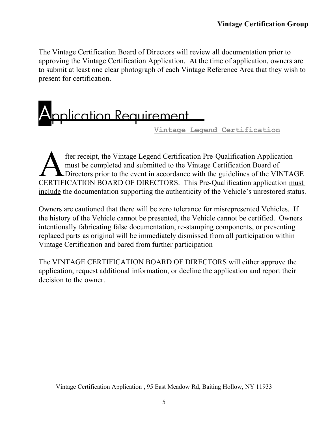The Vintage Certification Board of Directors will review all documentation prior to approving the Vintage Certification Application. At the time of application, owners are to submit at least one clear photograph of each Vintage Reference Area that they wish to present for certification.



fter receipt, the Vintage Legend Certification Pre-Qualification Application must be completed and submitted to the Vintage Certification Board of Directors prior to the event in accordance with the guidelines of the VINTAGE fter receipt, the Vintage Legend Certification Pre-Qualification Application<br>
must be completed and submitted to the Vintage Certification Board of<br>
CERTIFICATION BOARD OF DIRECTORS. This Pre-Qualification application must include the documentation supporting the authenticity of the Vehicle's unrestored status.

Owners are cautioned that there will be zero tolerance for misrepresented Vehicles. If the history of the Vehicle cannot be presented, the Vehicle cannot be certified. Owners intentionally fabricating false documentation, re-stamping components, or presenting replaced parts as original will be immediately dismissed from all participation within Vintage Certification and bared from further participation

The VINTAGE CERTIFICATION BOARD OF DIRECTORS will either approve the application, request additional information, or decline the application and report their decision to the owner.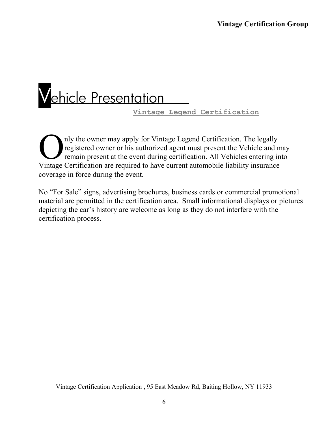## Vehicle Presentation

 **Vintage Legend Certification**

nly the owner may apply for Vintage Legend Certification. The legally registered owner or his authorized agent must present the Vehicle and may remain present at the event during certification. All Vehicles entering into The vintage Certification. The legally registered owner or his authorized agent must present the Vehicle and numerication resent at the event during certification. All Vehicles entering in Vintage Certification are require coverage in force during the event.

No "For Sale" signs, advertising brochures, business cards or commercial promotional material are permitted in the certification area. Small informational displays or pictures depicting the car's history are welcome as long as they do not interfere with the certification process.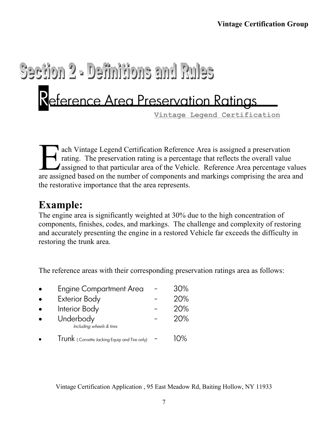## Section 2 - Definitions and Rules eference Area Preservation Ratings

**Vintage Legend Certification**

ach Vintage Legend Certification Reference Area is assigned a preservation rating. The preservation rating is a percentage that reflects the overall value assigned to that particular area of the Vehicle. Reference Area percentage values ach Vintage Legend Certification Reference Area is assigned a preservation rating. The preservation rating is a percentage that reflects the overall value assigned to that particular area of the Vehicle. Reference Area per the restorative importance that the area represents.

#### **Example:**

The engine area is significantly weighted at 30% due to the high concentration of components, finishes, codes, and markings. The challenge and complexity of restoring and accurately presenting the engine in a restored Vehicle far exceeds the difficulty in restoring the trunk area.

The reference areas with their corresponding preservation ratings area as follows:

| $\bullet$ | <b>Engine Compartment Area</b>               | 30%        |
|-----------|----------------------------------------------|------------|
| $\bullet$ | <b>Exterior Body</b>                         | 20%        |
| $\bullet$ | Interior Body                                | 20%        |
|           | Underbody<br>Including wheels & tires        | 20%        |
|           | Trunk (Corvette Jacking Equip and Tire only) | $\Omega\%$ |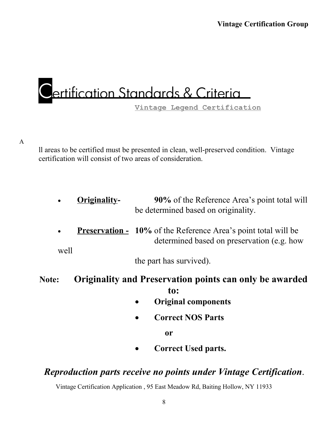### ertification Standards & Criteria

**Vintage Legend Certification**

ll areas to be certified must be presented in clean, well-preserved condition. Vintage certification will consist of two areas of consideration.

- **Originality-** 90% of the Reference Area's point total will be determined based on originality.
- **Preservation -** 10% of the Reference Area's point total will be determined based on preservation (e.g. how

well

the part has survived).

**Note: Originality and Preservation points can only be awarded to:**

- **Original components**
- **Correct NOS Parts**

 **or**

**Correct Used parts.** 

#### *Reproduction parts receive no points under Vintage Certification***.**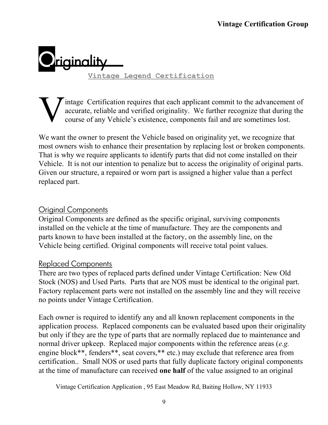

intage Certification requires that each applicant commit to the advancement of accurate, reliable and verified originality. We further recognize that during the course of any Vehicle's existence, components fail and are sometimes lost.

We want the owner to present the Vehicle based on originality yet, we recognize that most owners wish to enhance their presentation by replacing lost or broken components. That is why we require applicants to identify parts that did not come installed on their Vehicle. It is not our intention to penalize but to access the originality of original parts. Given our structure, a repaired or worn part is assigned a higher value than a perfect replaced part.

#### Original Components

Original Components are defined as the specific original, surviving components installed on the vehicle at the time of manufacture. They are the components and parts known to have been installed at the factory, on the assembly line, on the Vehicle being certified. Original components will receive total point values.

#### Replaced Components

There are two types of replaced parts defined under Vintage Certification: New Old Stock (NOS) and Used Parts. Parts that are NOS must be identical to the original part. Factory replacement parts were not installed on the assembly line and they will receive no points under Vintage Certification.

Each owner is required to identify any and all known replacement components in the application process. Replaced components can be evaluated based upon their originality but only if they are the type of parts that are normally replaced due to maintenance and normal driver upkeep. Replaced major components within the reference areas (*e.g.* engine block\*\*, fenders\*\*, seat covers,\*\* etc.) may exclude that reference area from certification.. Small NOS or used parts that fully duplicate factory original components at the time of manufacture can received **one half** of the value assigned to an original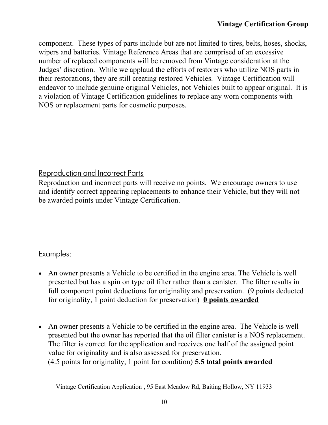component. These types of parts include but are not limited to tires, belts, hoses, shocks, wipers and batteries. Vintage Reference Areas that are comprised of an excessive number of replaced components will be removed from Vintage consideration at the Judges' discretion. While we applaud the efforts of restorers who utilize NOS parts in their restorations, they are still creating restored Vehicles. Vintage Certification will endeavor to include genuine original Vehicles, not Vehicles built to appear original. It is a violation of Vintage Certification guidelines to replace any worn components with NOS or replacement parts for cosmetic purposes.

#### Reproduction and Incorrect Parts

Reproduction and incorrect parts will receive no points. We encourage owners to use and identify correct appearing replacements to enhance their Vehicle, but they will not be awarded points under Vintage Certification.

#### Examples:

- An owner presents a Vehicle to be certified in the engine area. The Vehicle is well presented but has a spin on type oil filter rather than a canister. The filter results in full component point deductions for originality and preservation. (9 points deducted for originality, 1 point deduction for preservation) **0 points awarded**
- An owner presents a Vehicle to be certified in the engine area. The Vehicle is well presented but the owner has reported that the oil filter canister is a NOS replacement. The filter is correct for the application and receives one half of the assigned point value for originality and is also assessed for preservation. (4.5 points for originality, 1 point for condition) **5.5 total points awarded**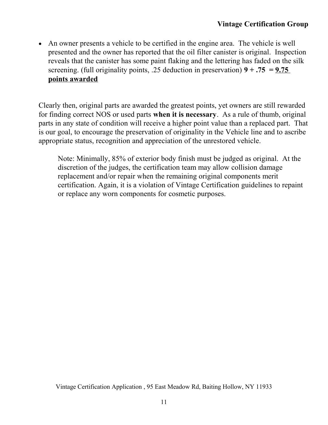An owner presents a vehicle to be certified in the engine area. The vehicle is well presented and the owner has reported that the oil filter canister is original. Inspection reveals that the canister has some paint flaking and the lettering has faded on the silk screening. (full originality points, .25 deduction in preservation)  $9 + .75 = 9.75$ **points awarded**

Clearly then, original parts are awarded the greatest points, yet owners are still rewarded for finding correct NOS or used parts **when it is necessary**. As a rule of thumb, original parts in any state of condition will receive a higher point value than a replaced part. That is our goal, to encourage the preservation of originality in the Vehicle line and to ascribe appropriate status, recognition and appreciation of the unrestored vehicle.

Note: Minimally, 85% of exterior body finish must be judged as original. At the discretion of the judges, the certification team may allow collision damage replacement and/or repair when the remaining original components merit certification. Again, it is a violation of Vintage Certification guidelines to repaint or replace any worn components for cosmetic purposes.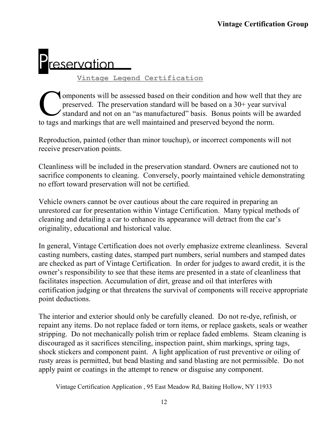# reservation

**Vintage Legend Certification**

omponents will be assessed based on their condition and how well that they are preserved. The preservation standard will be based on a 30+ year survival standard and not on an "as manufactured" basis. Bonus points will be awarded Components will be assessed based on their condition and how well that preserved. The preservation standard will be based on a 30+ year surv standard and not on an "as manufactured" basis. Bonus points will be to tags and

Reproduction, painted (other than minor touchup), or incorrect components will not receive preservation points.

Cleanliness will be included in the preservation standard. Owners are cautioned not to sacrifice components to cleaning. Conversely, poorly maintained vehicle demonstrating no effort toward preservation will not be certified.

Vehicle owners cannot be over cautious about the care required in preparing an unrestored car for presentation within Vintage Certification. Many typical methods of cleaning and detailing a car to enhance its appearance will detract from the car's originality, educational and historical value.

In general, Vintage Certification does not overly emphasize extreme cleanliness. Several casting numbers, casting dates, stamped part numbers, serial numbers and stamped dates are checked as part of Vintage Certification. In order for judges to award credit, it is the owner's responsibility to see that these items are presented in a state of cleanliness that facilitates inspection. Accumulation of dirt, grease and oil that interferes with certification judging or that threatens the survival of components will receive appropriate point deductions.

The interior and exterior should only be carefully cleaned. Do not re-dye, refinish, or repaint any items. Do not replace faded or torn items, or replace gaskets, seals or weather stripping. Do not mechanically polish trim or replace faded emblems. Steam cleaning is discouraged as it sacrifices stenciling, inspection paint, shim markings, spring tags, shock stickers and component paint. A light application of rust preventive or oiling of rusty areas is permitted, but bead blasting and sand blasting are not permissible. Do not apply paint or coatings in the attempt to renew or disguise any component.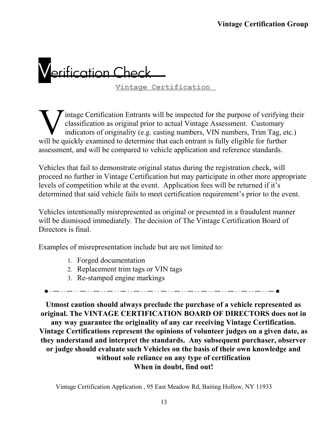## erification Chec

 **Vintage Certification** 

intage Certification Entrants will be inspected for the purpose of verifying their classification as original prior to actual Vintage Assessment. Customary indicators of originality (e.g. casting numbers, VIN numbers, Trim Tag, etc.) Wintage Certification Entrants will be inspected for the purpose of verifying classification as original prior to actual Vintage Assessment. Customary indicators of originality (e.g. casting numbers, VIN numbers, Trim Tag, assessment, and will be compared to vehicle application and reference standards.

Vehicles that fail to demonstrate original status during the registration check, will proceed no further in Vintage Certification but may participate in other more appropriate levels of competition while at the event. Application fees will be returned if it's determined that said vehicle fails to meet certification requirement's prior to the event.

Vehicles intentionally misrepresented as original or presented in a fraudulent manner will be dismissed immediately. The decision of The Vintage Certification Board of Directors is final.

Examples of misrepresentation include but are not limited to:

- 1. Forged documentation
- 2. Replacement trim tags or VIN tags
- 3. Re-stamped engine markings

**Utmost caution should always preclude the purchase of a vehicle represented as original. The VINTAGE CERTIFICATION BOARD OF DIRECTORS does not in any way guarantee the originality of any car receiving Vintage Certification. Vintage Certifications represent the opinions of volunteer judges on a given date, as they understand and interpret the standards. Any subsequent purchaser, observer or judge should evaluate such Vehicles on the basis of their own knowledge and without sole reliance on any type of certification When in doubt, find out!**